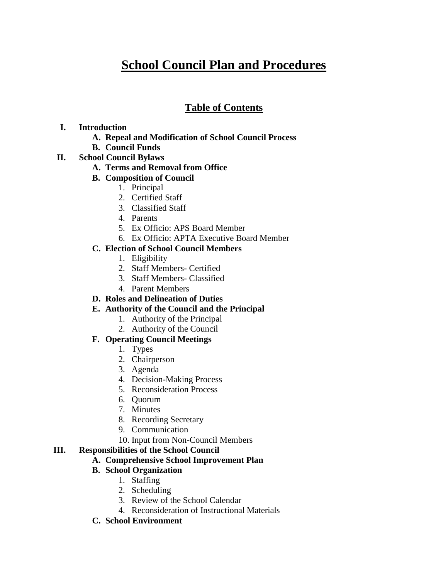# **School Council Plan and Procedures**

# **Table of Contents**

## **I. Introduction**

- **A. Repeal and Modification of School Council Process**
- **B. Council Funds**
- **II. School Council Bylaws**

## **A. Terms and Removal from Office**

- **B. Composition of Council**
	- 1. Principal
	- 2. Certified Staff
	- 3. Classified Staff
	- 4. Parents
	- 5. Ex Officio: APS Board Member
	- 6. Ex Officio: APTA Executive Board Member

## **C. Election of School Council Members**

- 1. Eligibility
- 2. Staff Members- Certified
- 3. Staff Members- Classified
- 4. Parent Members

# **D. Roles and Delineation of Duties**

# **E. Authority of the Council and the Principal**

- 1. Authority of the Principal
- 2. Authority of the Council

# **F. Operating Council Meetings**

- 1. Types
- 2. Chairperson
- 3. Agenda
- 4. Decision-Making Process
- 5. Reconsideration Process
- 6. Quorum
- 7. Minutes
- 8. Recording Secretary
- 9. Communication
- 10. Input from Non-Council Members

## **III. Responsibilities of the School Council**

# **A. Comprehensive School Improvement Plan**

# **B. School Organization**

- 1. Staffing
- 2. Scheduling
- 3. Review of the School Calendar
- 4. Reconsideration of Instructional Materials

# **C. School Environment**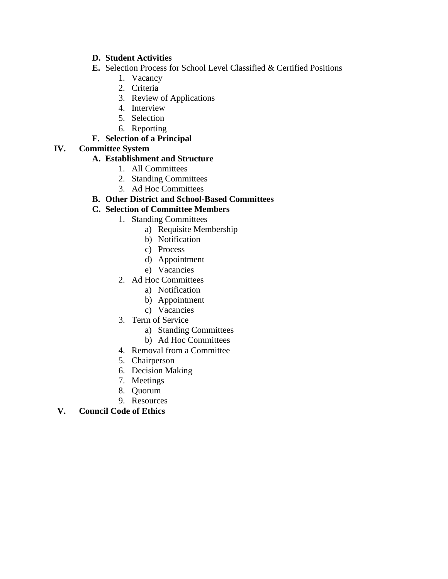### **D. Student Activities**

- **E.** Selection Process for School Level Classified & Certified Positions
	- 1. Vacancy
		- 2. Criteria
		- 3. Review of Applications
		- 4. Interview
		- 5. Selection
		- 6. Reporting

# **F. Selection of a Principal**

## **IV. Committee System**

## **A. Establishment and Structure**

- 1. All Committees
- 2. Standing Committees
- 3. Ad Hoc Committees

## **B. Other District and School-Based Committees**

## **C. Selection of Committee Members**

- 1. Standing Committees
	- a) Requisite Membership
	- b) Notification
	- c) Process
	- d) Appointment
	- e) Vacancies
- 2. Ad Hoc Committees
	- a) Notification
	- b) Appointment
	- c) Vacancies
- 3. Term of Service
	- a) Standing Committees
	- b) Ad Hoc Committees
- 4. Removal from a Committee
- 5. Chairperson
- 6. Decision Making
- 7. Meetings
- 8. Quorum
- 9. Resources

# **V. Council Code of Ethics**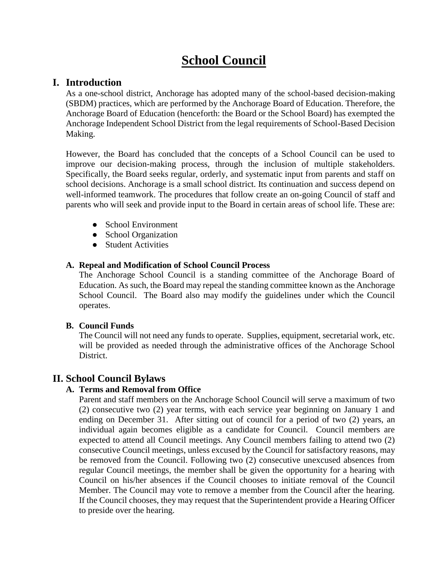# **School Council**

# **I. Introduction**

As a one-school district, Anchorage has adopted many of the school-based decision-making (SBDM) practices, which are performed by the Anchorage Board of Education. Therefore, the Anchorage Board of Education (henceforth: the Board or the School Board) has exempted the Anchorage Independent School District from the legal requirements of School-Based Decision Making.

However, the Board has concluded that the concepts of a School Council can be used to improve our decision-making process, through the inclusion of multiple stakeholders. Specifically, the Board seeks regular, orderly, and systematic input from parents and staff on school decisions. Anchorage is a small school district. Its continuation and success depend on well-informed teamwork. The procedures that follow create an on-going Council of staff and parents who will seek and provide input to the Board in certain areas of school life. These are:

- School Environment
- School Organization
- Student Activities

## **A. Repeal and Modification of School Council Process**

The Anchorage School Council is a standing committee of the Anchorage Board of Education. As such, the Board may repeal the standing committee known as the Anchorage School Council. The Board also may modify the guidelines under which the Council operates.

## **B. Council Funds**

The Council will not need any funds to operate. Supplies, equipment, secretarial work, etc. will be provided as needed through the administrative offices of the Anchorage School District.

# **II. School Council Bylaws**

# **A. Terms and Removal from Office**

Parent and staff members on the Anchorage School Council will serve a maximum of two (2) consecutive two (2) year terms, with each service year beginning on January 1 and ending on December 31. After sitting out of council for a period of two (2) years, an individual again becomes eligible as a candidate for Council. Council members are expected to attend all Council meetings. Any Council members failing to attend two (2) consecutive Council meetings, unless excused by the Council for satisfactory reasons, may be removed from the Council. Following two (2) consecutive unexcused absences from regular Council meetings, the member shall be given the opportunity for a hearing with Council on his/her absences if the Council chooses to initiate removal of the Council Member. The Council may vote to remove a member from the Council after the hearing. If the Council chooses, they may request that the Superintendent provide a Hearing Officer to preside over the hearing.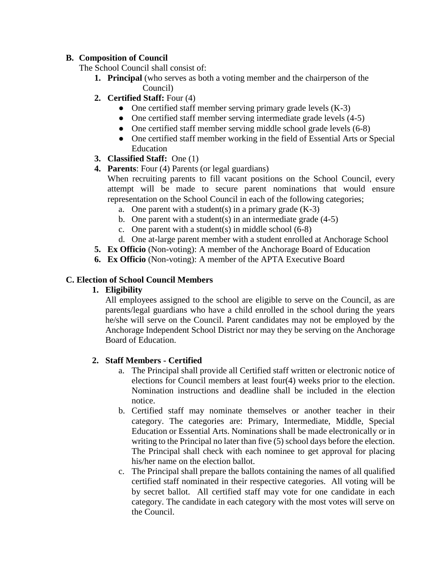## **B. Composition of Council**

The School Council shall consist of:

- **1. Principal** (who serves as both a voting member and the chairperson of the Council)
- **2. Certified Staff:** Four (4)
	- One certified staff member serving primary grade levels (K-3)
	- One certified staff member serving intermediate grade levels (4-5)
	- One certified staff member serving middle school grade levels (6-8)
	- One certified staff member working in the field of Essential Arts or Special Education
- **3. Classified Staff:** One (1)
- **4. Parents**: Four (4) Parents (or legal guardians)

When recruiting parents to fill vacant positions on the School Council, every attempt will be made to secure parent nominations that would ensure representation on the School Council in each of the following categories;

- a. One parent with a student(s) in a primary grade  $(K-3)$
- b. One parent with a student(s) in an intermediate grade  $(4-5)$
- c. One parent with a student(s) in middle school (6-8)
- d. One at-large parent member with a student enrolled at Anchorage School
- **5. Ex Officio** (Non-voting): A member of the Anchorage Board of Education
- **6. Ex Officio** (Non-voting): A member of the APTA Executive Board

## **C. Election of School Council Members**

## **1. Eligibility**

All employees assigned to the school are eligible to serve on the Council, as are parents/legal guardians who have a child enrolled in the school during the years he/she will serve on the Council. Parent candidates may not be employed by the Anchorage Independent School District nor may they be serving on the Anchorage Board of Education.

## **2. Staff Members - Certified**

- a. The Principal shall provide all Certified staff written or electronic notice of elections for Council members at least four(4) weeks prior to the election. Nomination instructions and deadline shall be included in the election notice.
- b. Certified staff may nominate themselves or another teacher in their category. The categories are: Primary, Intermediate, Middle, Special Education or Essential Arts. Nominations shall be made electronically or in writing to the Principal no later than five (5) school days before the election. The Principal shall check with each nominee to get approval for placing his/her name on the election ballot.
- c. The Principal shall prepare the ballots containing the names of all qualified certified staff nominated in their respective categories. All voting will be by secret ballot. All certified staff may vote for one candidate in each category. The candidate in each category with the most votes will serve on the Council.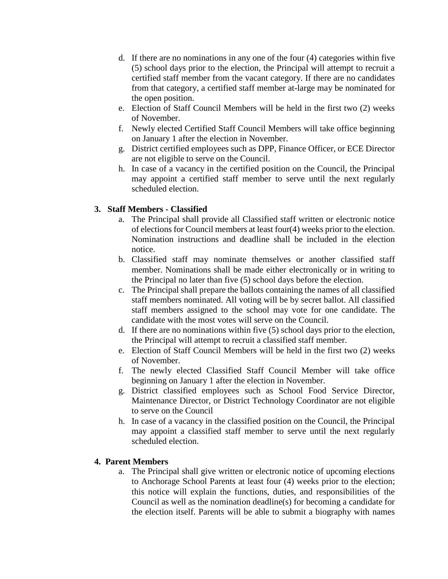- d. If there are no nominations in any one of the four (4) categories within five (5) school days prior to the election, the Principal will attempt to recruit a certified staff member from the vacant category. If there are no candidates from that category, a certified staff member at-large may be nominated for the open position.
- e. Election of Staff Council Members will be held in the first two (2) weeks of November.
- f. Newly elected Certified Staff Council Members will take office beginning on January 1 after the election in November.
- g. District certified employees such as DPP, Finance Officer, or ECE Director are not eligible to serve on the Council.
- h. In case of a vacancy in the certified position on the Council, the Principal may appoint a certified staff member to serve until the next regularly scheduled election.

## **3. Staff Members - Classified**

- a. The Principal shall provide all Classified staff written or electronic notice of elections for Council members at least four(4) weeks prior to the election. Nomination instructions and deadline shall be included in the election notice.
- b. Classified staff may nominate themselves or another classified staff member. Nominations shall be made either electronically or in writing to the Principal no later than five (5) school days before the election.
- c. The Principal shall prepare the ballots containing the names of all classified staff members nominated. All voting will be by secret ballot. All classified staff members assigned to the school may vote for one candidate. The candidate with the most votes will serve on the Council.
- d. If there are no nominations within five (5) school days prior to the election, the Principal will attempt to recruit a classified staff member.
- e. Election of Staff Council Members will be held in the first two (2) weeks of November.
- f. The newly elected Classified Staff Council Member will take office beginning on January 1 after the election in November.
- g. District classified employees such as School Food Service Director, Maintenance Director, or District Technology Coordinator are not eligible to serve on the Council
- h. In case of a vacancy in the classified position on the Council, the Principal may appoint a classified staff member to serve until the next regularly scheduled election.

## **4. Parent Members**

a. The Principal shall give written or electronic notice of upcoming elections to Anchorage School Parents at least four (4) weeks prior to the election; this notice will explain the functions, duties, and responsibilities of the Council as well as the nomination deadline(s) for becoming a candidate for the election itself. Parents will be able to submit a biography with names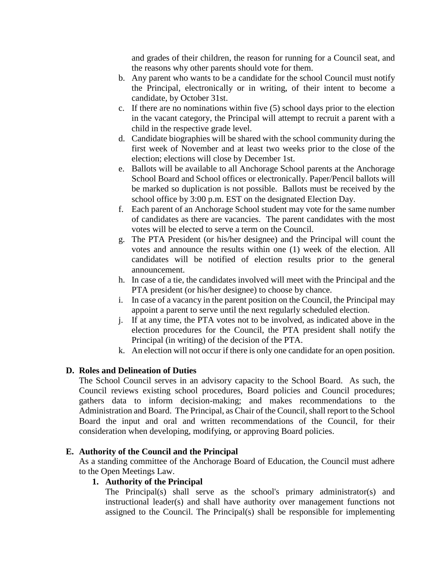and grades of their children, the reason for running for a Council seat, and the reasons why other parents should vote for them.

- b. Any parent who wants to be a candidate for the school Council must notify the Principal, electronically or in writing, of their intent to become a candidate, by October 31st.
- c. If there are no nominations within five (5) school days prior to the election in the vacant category, the Principal will attempt to recruit a parent with a child in the respective grade level.
- d. Candidate biographies will be shared with the school community during the first week of November and at least two weeks prior to the close of the election; elections will close by December 1st.
- e. Ballots will be available to all Anchorage School parents at the Anchorage School Board and School offices or electronically. Paper/Pencil ballots will be marked so duplication is not possible. Ballots must be received by the school office by 3:00 p.m. EST on the designated Election Day.
- f. Each parent of an Anchorage School student may vote for the same number of candidates as there are vacancies. The parent candidates with the most votes will be elected to serve a term on the Council.
- g. The PTA President (or his/her designee) and the Principal will count the votes and announce the results within one (1) week of the election. All candidates will be notified of election results prior to the general announcement.
- h. In case of a tie, the candidates involved will meet with the Principal and the PTA president (or his/her designee) to choose by chance.
- i. In case of a vacancy in the parent position on the Council, the Principal may appoint a parent to serve until the next regularly scheduled election.
- j. If at any time, the PTA votes not to be involved, as indicated above in the election procedures for the Council, the PTA president shall notify the Principal (in writing) of the decision of the PTA.
- k. An election will not occur if there is only one candidate for an open position.

## **D. Roles and Delineation of Duties**

The School Council serves in an advisory capacity to the School Board. As such, the Council reviews existing school procedures, Board policies and Council procedures; gathers data to inform decision-making; and makes recommendations to the Administration and Board. The Principal, as Chair of the Council, shall report to the School Board the input and oral and written recommendations of the Council, for their consideration when developing, modifying, or approving Board policies.

## **E. Authority of the Council and the Principal**

As a standing committee of the Anchorage Board of Education, the Council must adhere to the Open Meetings Law.

## **1. Authority of the Principal**

The Principal(s) shall serve as the school's primary administrator(s) and instructional leader(s) and shall have authority over management functions not assigned to the Council. The Principal(s) shall be responsible for implementing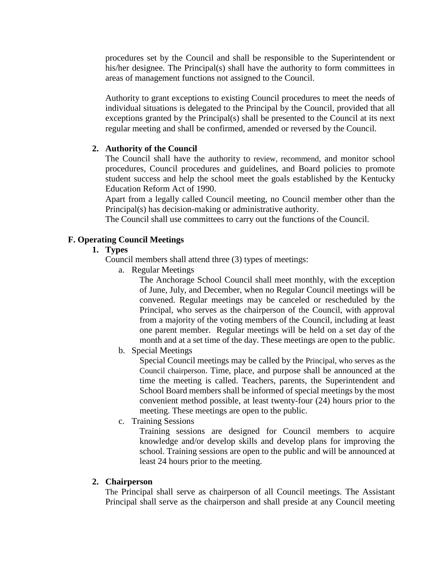procedures set by the Council and shall be responsible to the Superintendent or his/her designee. The Principal(s) shall have the authority to form committees in areas of management functions not assigned to the Council.

Authority to grant exceptions to existing Council procedures to meet the needs of individual situations is delegated to the Principal by the Council, provided that all exceptions granted by the Principal(s) shall be presented to the Council at its next regular meeting and shall be confirmed, amended or reversed by the Council.

## **2. Authority of the Council**

The Council shall have the authority to review, recommend, and monitor school procedures, Council procedures and guidelines, and Board policies to promote student success and help the school meet the goals established by the Kentucky Education Reform Act of 1990.

Apart from a legally called Council meeting, no Council member other than the Principal(s) has decision-making or administrative authority.

The Council shall use committees to carry out the functions of the Council.

## **F. Operating Council Meetings**

## **1. Types**

Council members shall attend three (3) types of meetings:

a. Regular Meetings

The Anchorage School Council shall meet monthly, with the exception of June, July, and December, when no Regular Council meetings will be convened. Regular meetings may be canceled or rescheduled by the Principal, who serves as the chairperson of the Council, with approval from a majority of the voting members of the Council, including at least one parent member. Regular meetings will be held on a set day of the month and at a set time of the day. These meetings are open to the public.

b. Special Meetings

Special Council meetings may be called by the Principal, who serves as the Council chairperson. Time, place, and purpose shall be announced at the time the meeting is called. Teachers, parents, the Superintendent and School Board members shall be informed of special meetings by the most convenient method possible, at least twenty-four (24) hours prior to the meeting. These meetings are open to the public.

c. Training Sessions

Training sessions are designed for Council members to acquire knowledge and/or develop skills and develop plans for improving the school. Training sessions are open to the public and will be announced at least 24 hours prior to the meeting.

## **2. Chairperson**

The Principal shall serve as chairperson of all Council meetings. The Assistant Principal shall serve as the chairperson and shall preside at any Council meeting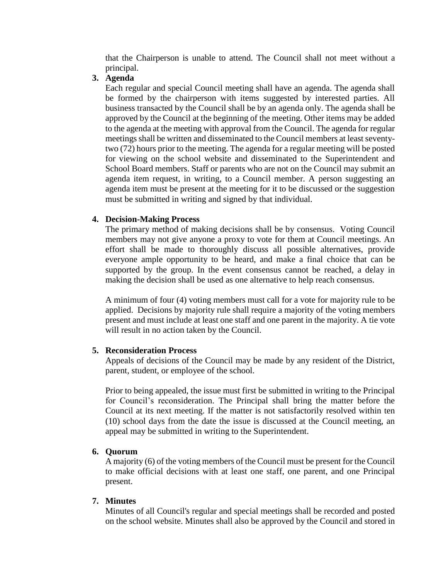that the Chairperson is unable to attend. The Council shall not meet without a principal.

#### **3. Agenda**

Each regular and special Council meeting shall have an agenda. The agenda shall be formed by the chairperson with items suggested by interested parties. All business transacted by the Council shall be by an agenda only. The agenda shall be approved by the Council at the beginning of the meeting. Other items may be added to the agenda at the meeting with approval from the Council. The agenda for regular meetings shall be written and disseminated to the Council members at least seventytwo (72) hours prior to the meeting. The agenda for a regular meeting will be posted for viewing on the school website and disseminated to the Superintendent and School Board members. Staff or parents who are not on the Council may submit an agenda item request, in writing, to a Council member. A person suggesting an agenda item must be present at the meeting for it to be discussed or the suggestion must be submitted in writing and signed by that individual.

#### **4. Decision-Making Process**

The primary method of making decisions shall be by consensus. Voting Council members may not give anyone a proxy to vote for them at Council meetings. An effort shall be made to thoroughly discuss all possible alternatives, provide everyone ample opportunity to be heard, and make a final choice that can be supported by the group. In the event consensus cannot be reached, a delay in making the decision shall be used as one alternative to help reach consensus.

A minimum of four (4) voting members must call for a vote for majority rule to be applied. Decisions by majority rule shall require a majority of the voting members present and must include at least one staff and one parent in the majority. A tie vote will result in no action taken by the Council.

#### **5. Reconsideration Process**

Appeals of decisions of the Council may be made by any resident of the District, parent, student, or employee of the school.

Prior to being appealed, the issue must first be submitted in writing to the Principal for Council's reconsideration. The Principal shall bring the matter before the Council at its next meeting. If the matter is not satisfactorily resolved within ten (10) school days from the date the issue is discussed at the Council meeting, an appeal may be submitted in writing to the Superintendent.

#### **6. Quorum**

A majority (6) of the voting members of the Council must be present for the Council to make official decisions with at least one staff, one parent, and one Principal present.

#### **7. Minutes**

Minutes of all Council's regular and special meetings shall be recorded and posted on the school website. Minutes shall also be approved by the Council and stored in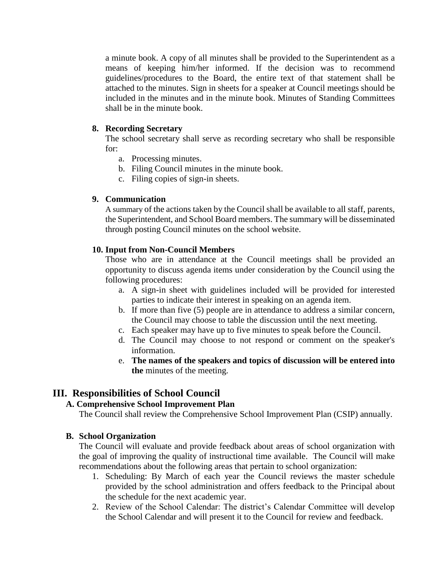a minute book. A copy of all minutes shall be provided to the Superintendent as a means of keeping him/her informed. If the decision was to recommend guidelines/procedures to the Board, the entire text of that statement shall be attached to the minutes. Sign in sheets for a speaker at Council meetings should be included in the minutes and in the minute book. Minutes of Standing Committees shall be in the minute book.

#### **8. Recording Secretary**

The school secretary shall serve as recording secretary who shall be responsible for:

- a. Processing minutes.
- b. Filing Council minutes in the minute book.
- c. Filing copies of sign-in sheets.

#### **9. Communication**

A summary of the actions taken by the Council shall be available to all staff, parents, the Superintendent, and School Board members. The summary will be disseminated through posting Council minutes on the school website.

#### **10. Input from Non-Council Members**

Those who are in attendance at the Council meetings shall be provided an opportunity to discuss agenda items under consideration by the Council using the following procedures:

- a. A sign-in sheet with guidelines included will be provided for interested parties to indicate their interest in speaking on an agenda item.
- b. If more than five (5) people are in attendance to address a similar concern, the Council may choose to table the discussion until the next meeting.
- c. Each speaker may have up to five minutes to speak before the Council.
- d. The Council may choose to not respond or comment on the speaker's information.
- e. **The names of the speakers and topics of discussion will be entered into the** minutes of the meeting.

# **III. Responsibilities of School Council**

## **A. Comprehensive School Improvement Plan**

The Council shall review the Comprehensive School Improvement Plan (CSIP) annually.

#### **B. School Organization**

The Council will evaluate and provide feedback about areas of school organization with the goal of improving the quality of instructional time available. The Council will make recommendations about the following areas that pertain to school organization:

- 1. Scheduling: By March of each year the Council reviews the master schedule provided by the school administration and offers feedback to the Principal about the schedule for the next academic year.
- 2. Review of the School Calendar: The district's Calendar Committee will develop the School Calendar and will present it to the Council for review and feedback.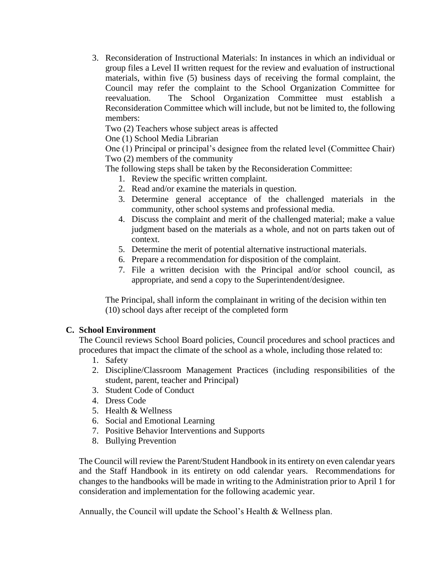3. Reconsideration of Instructional Materials: In instances in which an individual or group files a Level II written request for the review and evaluation of instructional materials, within five (5) business days of receiving the formal complaint, the Council may refer the complaint to the School Organization Committee for reevaluation. The School Organization Committee must establish a Reconsideration Committee which will include, but not be limited to, the following members:

Two (2) Teachers whose subject areas is affected

One (1) School Media Librarian

One (1) Principal or principal's designee from the related level (Committee Chair) Two (2) members of the community

The following steps shall be taken by the Reconsideration Committee:

- 1. Review the specific written complaint.
- 2. Read and/or examine the materials in question.
- 3. Determine general acceptance of the challenged materials in the community, other school systems and professional media.
- 4. Discuss the complaint and merit of the challenged material; make a value judgment based on the materials as a whole, and not on parts taken out of context.
- 5. Determine the merit of potential alternative instructional materials.
- 6. Prepare a recommendation for disposition of the complaint.
- 7. File a written decision with the Principal and/or school council, as appropriate, and send a copy to the Superintendent/designee.

The Principal, shall inform the complainant in writing of the decision within ten (10) school days after receipt of the completed form

# **C. School Environment**

The Council reviews School Board policies, Council procedures and school practices and procedures that impact the climate of the school as a whole, including those related to:

- 1. Safety
- 2. Discipline/Classroom Management Practices (including responsibilities of the student, parent, teacher and Principal)
- 3. Student Code of Conduct
- 4. Dress Code
- 5. Health & Wellness
- 6. Social and Emotional Learning
- 7. Positive Behavior Interventions and Supports
- 8. Bullying Prevention

The Council will review the Parent/Student Handbook in its entirety on even calendar years and the Staff Handbook in its entirety on odd calendar years. Recommendations for changes to the handbooks will be made in writing to the Administration prior to April 1 for consideration and implementation for the following academic year.

Annually, the Council will update the School's Health & Wellness plan.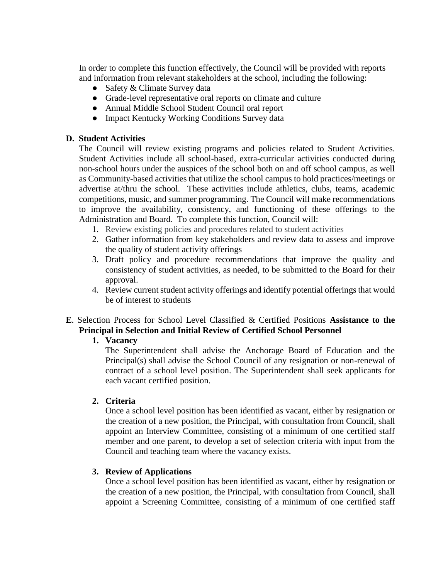In order to complete this function effectively, the Council will be provided with reports and information from relevant stakeholders at the school, including the following:

- Safety & Climate Survey data
- Grade-level representative oral reports on climate and culture
- Annual Middle School Student Council oral report
- Impact Kentucky Working Conditions Survey data

#### **D. Student Activities**

The Council will review existing programs and policies related to Student Activities. Student Activities include all school-based, extra-curricular activities conducted during non-school hours under the auspices of the school both on and off school campus, as well as Community-based activities that utilize the school campus to hold practices/meetings or advertise at/thru the school. These activities include athletics, clubs, teams, academic competitions, music, and summer programming. The Council will make recommendations to improve the availability, consistency, and functioning of these offerings to the Administration and Board. To complete this function, Council will:

- 1. Review existing policies and procedures related to student activities
- 2. Gather information from key stakeholders and review data to assess and improve the quality of student activity offerings
- 3. Draft policy and procedure recommendations that improve the quality and consistency of student activities, as needed, to be submitted to the Board for their approval.
- 4. Review current student activity offerings and identify potential offerings that would be of interest to students
- **E**. Selection Process for School Level Classified & Certified Positions **Assistance to the Principal in Selection and Initial Review of Certified School Personnel**

#### **1. Vacancy**

The Superintendent shall advise the Anchorage Board of Education and the Principal(s) shall advise the School Council of any resignation or non-renewal of contract of a school level position. The Superintendent shall seek applicants for each vacant certified position.

#### **2. Criteria**

Once a school level position has been identified as vacant, either by resignation or the creation of a new position, the Principal, with consultation from Council, shall appoint an Interview Committee, consisting of a minimum of one certified staff member and one parent, to develop a set of selection criteria with input from the Council and teaching team where the vacancy exists.

#### **3. Review of Applications**

Once a school level position has been identified as vacant, either by resignation or the creation of a new position, the Principal, with consultation from Council, shall appoint a Screening Committee, consisting of a minimum of one certified staff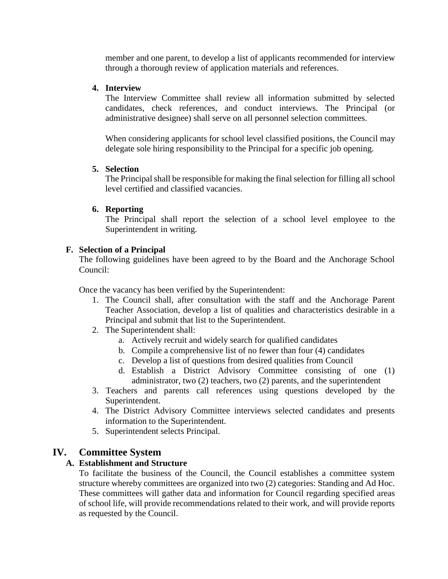member and one parent, to develop a list of applicants recommended for interview through a thorough review of application materials and references.

#### **4. Interview**

The Interview Committee shall review all information submitted by selected candidates, check references, and conduct interviews. The Principal (or administrative designee) shall serve on all personnel selection committees.

When considering applicants for school level classified positions, the Council may delegate sole hiring responsibility to the Principal for a specific job opening.

#### **5. Selection**

The Principal shall be responsible for making the final selection for filling all school level certified and classified vacancies.

#### **6. Reporting**

The Principal shall report the selection of a school level employee to the Superintendent in writing.

## **F. Selection of a Principal**

The following guidelines have been agreed to by the Board and the Anchorage School Council:

Once the vacancy has been verified by the Superintendent:

- 1. The Council shall, after consultation with the staff and the Anchorage Parent Teacher Association, develop a list of qualities and characteristics desirable in a Principal and submit that list to the Superintendent.
- 2. The Superintendent shall:
	- a. Actively recruit and widely search for qualified candidates
	- b. Compile a comprehensive list of no fewer than four (4) candidates
	- c. Develop a list of questions from desired qualities from Council
	- d. Establish a District Advisory Committee consisting of one (1) administrator, two (2) teachers, two (2) parents, and the superintendent
- 3. Teachers and parents call references using questions developed by the Superintendent.
- 4. The District Advisory Committee interviews selected candidates and presents information to the Superintendent.
- 5. Superintendent selects Principal.

# **IV. Committee System**

## **A. Establishment and Structure**

To facilitate the business of the Council, the Council establishes a committee system structure whereby committees are organized into two (2) categories: Standing and Ad Hoc. These committees will gather data and information for Council regarding specified areas of school life, will provide recommendations related to their work, and will provide reports as requested by the Council.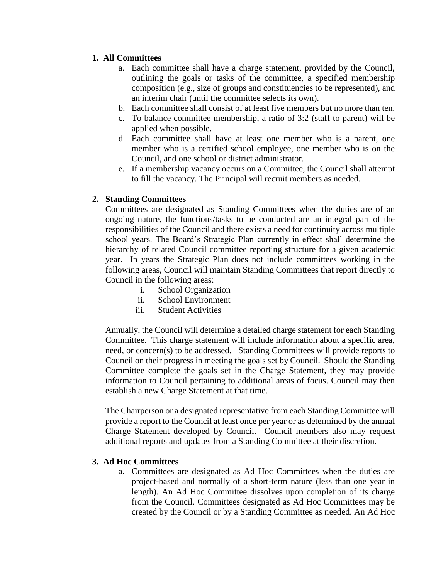### **1. All Committees**

- a. Each committee shall have a charge statement, provided by the Council, outlining the goals or tasks of the committee, a specified membership composition (e.g., size of groups and constituencies to be represented), and an interim chair (until the committee selects its own).
- b. Each committee shall consist of at least five members but no more than ten.
- c. To balance committee membership, a ratio of 3:2 (staff to parent) will be applied when possible.
- d. Each committee shall have at least one member who is a parent, one member who is a certified school employee, one member who is on the Council, and one school or district administrator.
- e. If a membership vacancy occurs on a Committee, the Council shall attempt to fill the vacancy. The Principal will recruit members as needed.

#### **2. Standing Committees**

Committees are designated as Standing Committees when the duties are of an ongoing nature, the functions/tasks to be conducted are an integral part of the responsibilities of the Council and there exists a need for continuity across multiple school years. The Board's Strategic Plan currently in effect shall determine the hierarchy of related Council committee reporting structure for a given academic year. In years the Strategic Plan does not include committees working in the following areas, Council will maintain Standing Committees that report directly to Council in the following areas:

- i. School Organization
- ii. School Environment
- iii. Student Activities

Annually, the Council will determine a detailed charge statement for each Standing Committee. This charge statement will include information about a specific area, need, or concern(s) to be addressed. Standing Committees will provide reports to Council on their progress in meeting the goals set by Council. Should the Standing Committee complete the goals set in the Charge Statement, they may provide information to Council pertaining to additional areas of focus. Council may then establish a new Charge Statement at that time.

The Chairperson or a designated representative from each Standing Committee will provide a report to the Council at least once per year or as determined by the annual Charge Statement developed by Council. Council members also may request additional reports and updates from a Standing Committee at their discretion.

#### **3. Ad Hoc Committees**

a. Committees are designated as Ad Hoc Committees when the duties are project-based and normally of a short-term nature (less than one year in length). An Ad Hoc Committee dissolves upon completion of its charge from the Council. Committees designated as Ad Hoc Committees may be created by the Council or by a Standing Committee as needed. An Ad Hoc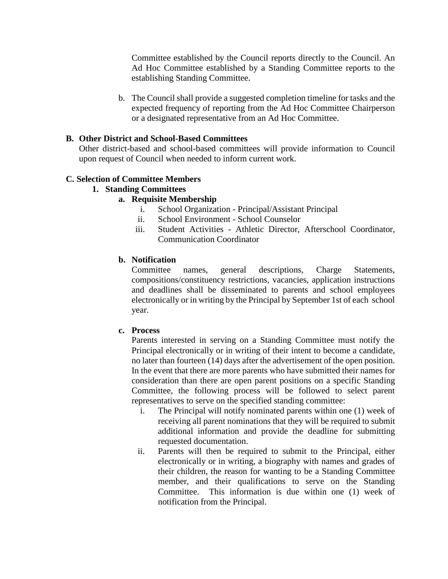Committee established by the Council reports directly to the Council. An Ad Hoc Committee established by a Standing Committee reports to the establishing Standing Committee.

b. The Council shall provide a suggested completion timeline for tasks and the expected frequency of reporting from the Ad Hoc Committee Chairperson or a designated representative from an Ad Hoc Committee.

#### **B. Other District and School-Based Committees**

Other district-based and school-based committees will provide information to Council upon request of Council when needed to inform current work.

## **C. Selection of Committee Members**

**1. Standing Committees**

#### **a. Requisite Membership**

- i. School Organization Principal/Assistant Principal
- ii. School Environment School Counselor
- iii. Student Activities Athletic Director, Afterschool Coordinator, Communication Coordinator

#### **b. Notification**

Committee names, general descriptions, Charge Statements, compositions/constituency restrictions, vacancies, application instructions and deadlines shall be disseminated to parents and school employees electronically or in writing by the Principal by September 1st of each school year.

#### **c. Process**

Parents interested in serving on a Standing Committee must notify the Principal electronically or in writing of their intent to become a candidate, no later than fourteen (14) days after the advertisement of the open position. In the event that there are more parents who have submitted their names for consideration than there are open parent positions on a specific Standing Committee, the following process will be followed to select parent representatives to serve on the specified standing committee:

- i. The Principal will notify nominated parents within one (1) week of receiving all parent nominations that they will be required to submit additional information and provide the deadline for submitting requested documentation.
- ii. Parents will then be required to submit to the Principal, either electronically or in writing, a biography with names and grades of their children, the reason for wanting to be a Standing Committee member, and their qualifications to serve on the Standing Committee. This information is due within one (1) week of notification from the Principal.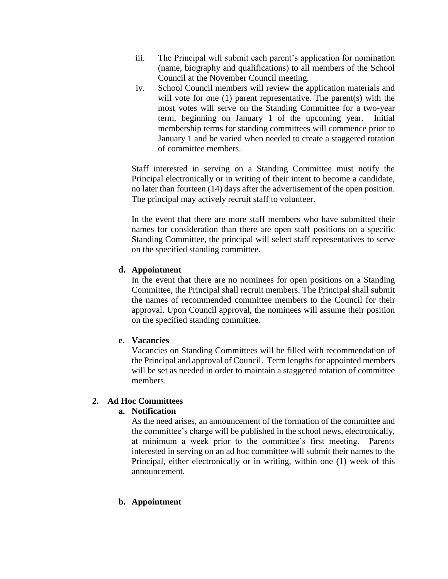- iii. The Principal will submit each parent's application for nomination (name, biography and qualifications) to all members of the School Council at the November Council meeting.
- iv. School Council members will review the application materials and will vote for one (1) parent representative. The parent(s) with the most votes will serve on the Standing Committee for a two-year term, beginning on January 1 of the upcoming year. Initial membership terms for standing committees will commence prior to January 1 and be varied when needed to create a staggered rotation of committee members.

Staff interested in serving on a Standing Committee must notify the Principal electronically or in writing of their intent to become a candidate, no later than fourteen (14) days after the advertisement of the open position. The principal may actively recruit staff to volunteer.

In the event that there are more staff members who have submitted their names for consideration than there are open staff positions on a specific Standing Committee, the principal will select staff representatives to serve on the specified standing committee.

## **d. Appointment**

In the event that there are no nominees for open positions on a Standing Committee, the Principal shall recruit members. The Principal shall submit the names of recommended committee members to the Council for their approval. Upon Council approval, the nominees will assume their position on the specified standing committee.

## **e. Vacancies**

Vacancies on Standing Committees will be filled with recommendation of the Principal and approval of Council. Term lengths for appointed members will be set as needed in order to maintain a staggered rotation of committee members.

## **2. Ad Hoc Committees**

## **a. Notification**

As the need arises, an announcement of the formation of the committee and the committee's charge will be published in the school news, electronically, at minimum a week prior to the committee's first meeting. Parents interested in serving on an ad hoc committee will submit their names to the Principal, either electronically or in writing, within one (1) week of this announcement.

#### **b. Appointment**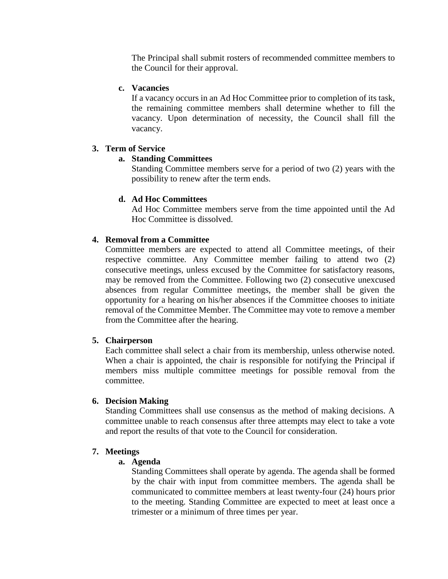The Principal shall submit rosters of recommended committee members to the Council for their approval.

#### **c. Vacancies**

If a vacancy occurs in an Ad Hoc Committee prior to completion of its task, the remaining committee members shall determine whether to fill the vacancy. Upon determination of necessity, the Council shall fill the vacancy.

#### **3. Term of Service**

## **a. Standing Committees**

Standing Committee members serve for a period of two (2) years with the possibility to renew after the term ends.

#### **d. Ad Hoc Committees**

Ad Hoc Committee members serve from the time appointed until the Ad Hoc Committee is dissolved.

#### **4. Removal from a Committee**

Committee members are expected to attend all Committee meetings, of their respective committee. Any Committee member failing to attend two (2) consecutive meetings, unless excused by the Committee for satisfactory reasons, may be removed from the Committee. Following two (2) consecutive unexcused absences from regular Committee meetings, the member shall be given the opportunity for a hearing on his/her absences if the Committee chooses to initiate removal of the Committee Member. The Committee may vote to remove a member from the Committee after the hearing.

#### **5. Chairperson**

Each committee shall select a chair from its membership, unless otherwise noted. When a chair is appointed, the chair is responsible for notifying the Principal if members miss multiple committee meetings for possible removal from the committee.

#### **6. Decision Making**

Standing Committees shall use consensus as the method of making decisions. A committee unable to reach consensus after three attempts may elect to take a vote and report the results of that vote to the Council for consideration.

#### **7. Meetings**

#### **a. Agenda**

Standing Committees shall operate by agenda. The agenda shall be formed by the chair with input from committee members. The agenda shall be communicated to committee members at least twenty-four (24) hours prior to the meeting. Standing Committee are expected to meet at least once a trimester or a minimum of three times per year.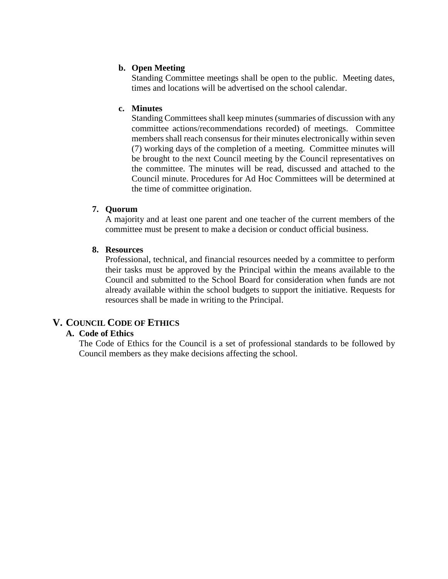#### **b. Open Meeting**

Standing Committee meetings shall be open to the public. Meeting dates, times and locations will be advertised on the school calendar.

#### **c. Minutes**

Standing Committees shall keep minutes (summaries of discussion with any committee actions/recommendations recorded) of meetings. Committee members shall reach consensus for their minutes electronically within seven (7) working days of the completion of a meeting. Committee minutes will be brought to the next Council meeting by the Council representatives on the committee. The minutes will be read, discussed and attached to the Council minute. Procedures for Ad Hoc Committees will be determined at the time of committee origination.

#### **7. Quorum**

A majority and at least one parent and one teacher of the current members of the committee must be present to make a decision or conduct official business.

#### **8. Resources**

Professional, technical, and financial resources needed by a committee to perform their tasks must be approved by the Principal within the means available to the Council and submitted to the School Board for consideration when funds are not already available within the school budgets to support the initiative. Requests for resources shall be made in writing to the Principal.

# **V. COUNCIL CODE OF ETHICS**

## **A. Code of Ethics**

The Code of Ethics for the Council is a set of professional standards to be followed by Council members as they make decisions affecting the school.